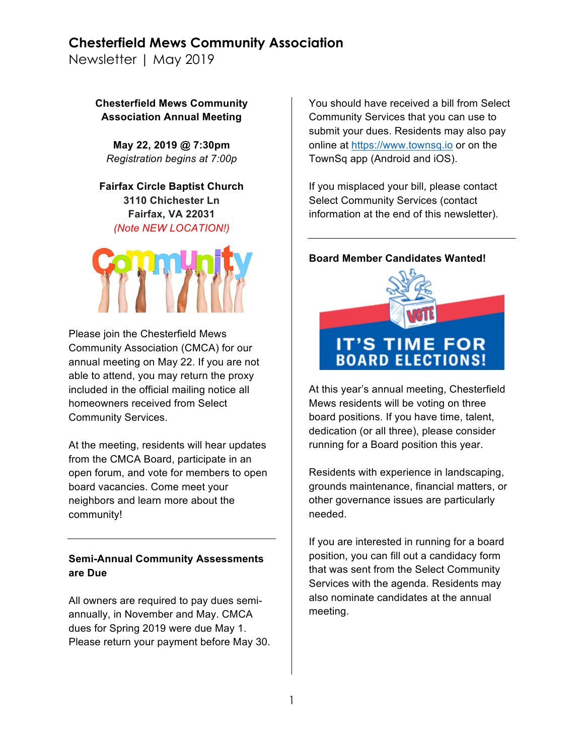Newsletter | May 2019

**Chesterfield Mews Community Association Annual Meeting**

**May 22, 2019 @ 7:30pm** *Registration begins at 7:00p*

**Fairfax Circle Baptist Church 3110 Chichester Ln Fairfax, VA 22031** *(Note NEW LOCATION!)*



Please join the Chesterfield Mews Community Association (CMCA) for our annual meeting on May 22. If you are not able to attend, you may return the proxy included in the official mailing notice all homeowners received from Select Community Services.

At the meeting, residents will hear updates from the CMCA Board, participate in an open forum, and vote for members to open board vacancies. Come meet your neighbors and learn more about the community!

### **Semi-Annual Community Assessments are Due**

All owners are required to pay dues semiannually, in November and May. CMCA dues for Spring 2019 were due May 1. Please return your payment before May 30. You should have received a bill from Select Community Services that you can use to submit your dues. Residents may also pay online at https://www.townsq.io or on the TownSq app (Android and iOS).

If you misplaced your bill, please contact Select Community Services (contact information at the end of this newsletter).

#### **Board Member Candidates Wanted!**



At this year's annual meeting, Chesterfield Mews residents will be voting on three board positions. If you have time, talent, dedication (or all three), please consider running for a Board position this year.

Residents with experience in landscaping, grounds maintenance, financial matters, or other governance issues are particularly needed.

If you are interested in running for a board position, you can fill out a candidacy form that was sent from the Select Community Services with the agenda. Residents may also nominate candidates at the annual meeting.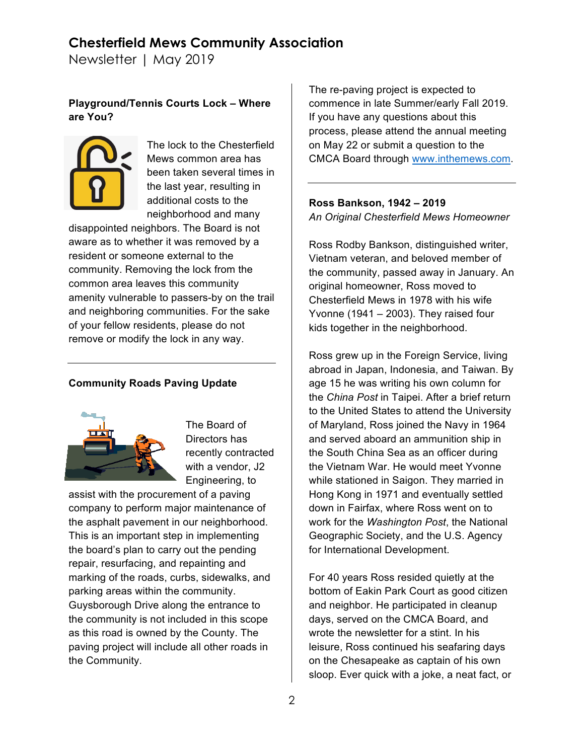Newsletter | May 2019

## **Playground/Tennis Courts Lock – Where are You?**



The lock to the Chesterfield Mews common area has been taken several times in the last year, resulting in additional costs to the neighborhood and many

disappointed neighbors. The Board is not aware as to whether it was removed by a resident or someone external to the community. Removing the lock from the common area leaves this community amenity vulnerable to passers-by on the trail and neighboring communities. For the sake of your fellow residents, please do not remove or modify the lock in any way.

### **Community Roads Paving Update**



The Board of Directors has recently contracted with a vendor, J2 Engineering, to

assist with the procurement of a paving company to perform major maintenance of the asphalt pavement in our neighborhood. This is an important step in implementing the board's plan to carry out the pending repair, resurfacing, and repainting and marking of the roads, curbs, sidewalks, and parking areas within the community. Guysborough Drive along the entrance to the community is not included in this scope as this road is owned by the County. The paving project will include all other roads in the Community.

The re-paving project is expected to commence in late Summer/early Fall 2019. If you have any questions about this process, please attend the annual meeting on May 22 or submit a question to the CMCA Board through www.inthemews.com.

#### **Ross Bankson, 1942 – 2019** *An Original Chesterfield Mews Homeowner*

Ross Rodby Bankson, distinguished writer, Vietnam veteran, and beloved member of the community, passed away in January. An original homeowner, Ross moved to Chesterfield Mews in 1978 with his wife Yvonne (1941 – 2003). They raised four kids together in the neighborhood.

Ross grew up in the Foreign Service, living abroad in Japan, Indonesia, and Taiwan. By age 15 he was writing his own column for the *China Post* in Taipei. After a brief return to the United States to attend the University of Maryland, Ross joined the Navy in 1964 and served aboard an ammunition ship in the South China Sea as an officer during the Vietnam War. He would meet Yvonne while stationed in Saigon. They married in Hong Kong in 1971 and eventually settled down in Fairfax, where Ross went on to work for the *Washington Post*, the National Geographic Society, and the U.S. Agency for International Development.

For 40 years Ross resided quietly at the bottom of Eakin Park Court as good citizen and neighbor. He participated in cleanup days, served on the CMCA Board, and wrote the newsletter for a stint. In his leisure, Ross continued his seafaring days on the Chesapeake as captain of his own sloop. Ever quick with a joke, a neat fact, or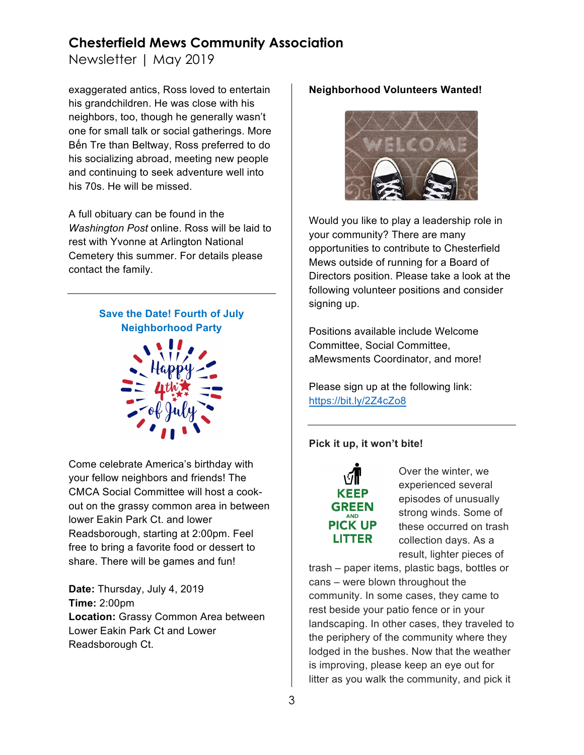Newsletter | May 2019

exaggerated antics, Ross loved to entertain his grandchildren. He was close with his neighbors, too, though he generally wasn't one for small talk or social gatherings. More Bến Tre than Beltway, Ross preferred to do his socializing abroad, meeting new people and continuing to seek adventure well into his 70s. He will be missed.

A full obituary can be found in the *Washington Post* online. Ross will be laid to rest with Yvonne at Arlington National Cemetery this summer. For details please contact the family.

> **Save the Date! Fourth of July Neighborhood Party**



Come celebrate America's birthday with your fellow neighbors and friends! The CMCA Social Committee will host a cookout on the grassy common area in between lower Eakin Park Ct. and lower Readsborough, starting at 2:00pm. Feel free to bring a favorite food or dessert to share. There will be games and fun!

**Date:** Thursday, July 4, 2019 **Time:** 2:00pm **Location:** Grassy Common Area between Lower Eakin Park Ct and Lower Readsborough Ct.

### **Neighborhood Volunteers Wanted!**



Would you like to play a leadership role in your community? There are many opportunities to contribute to Chesterfield Mews outside of running for a Board of Directors position. Please take a look at the following volunteer positions and consider signing up.

Positions available include Welcome Committee, Social Committee, aMewsments Coordinator, and more!

Please sign up at the following link: https://bit.ly/2Z4cZo8

#### **Pick it up, it won't bite!**



Over the winter, we experienced several episodes of unusually strong winds. Some of these occurred on trash collection days. As a result, lighter pieces of

trash – paper items, plastic bags, bottles or cans – were blown throughout the community. In some cases, they came to rest beside your patio fence or in your landscaping. In other cases, they traveled to the periphery of the community where they lodged in the bushes. Now that the weather is improving, please keep an eye out for litter as you walk the community, and pick it